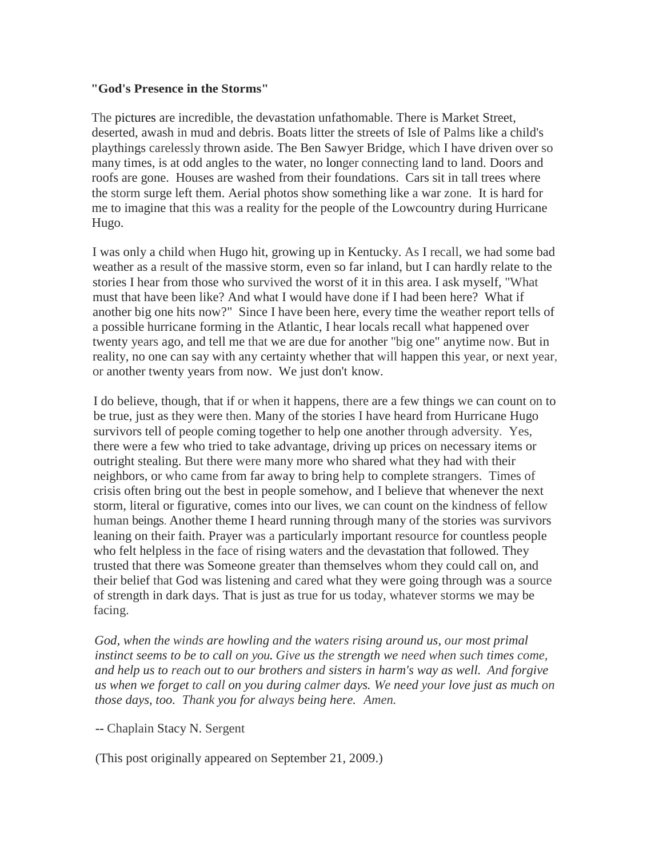#### **"God's Presence in the Storms"**

The pictures are incredible, the devastation unfathomable. There is Market Street, deserted, awash in mud and debris. Boats litter the streets of Isle of Palms like a child's playthings carelessly thrown aside. The Ben Sawyer Bridge, which I have driven over so many times, is at odd angles to the water, no longer connecting land to land. Doors and roofs are gone. Houses are washed from their foundations. Cars sit in tall trees where the storm surge left them. Aerial photos show something like a war zone. It is hard for me to imagine that this was a reality for the people of the Lowcountry during Hurricane Hugo.

I was only a child when Hugo hit, growing up in Kentucky. As I recall, we had some bad weather as a result of the massive storm, even so far inland, but I can hardly relate to the stories I hear from those who survived the worst of it in this area. I ask myself, "What must that have been like? And what I would have done if I had been here? What if another big one hits now?" Since I have been here, every time the weather report tells of a possible hurricane forming in the Atlantic, I hear locals recall what happened over twenty years ago, and tell me that we are due for another "big one" anytime now. But in reality, no one can say with any certainty whether that will happen this year, or next year, or another twenty years from now. We just don't know.

I do believe, though, that if or when it happens, there are a few things we can count on to be true, just as they were then. Many of the stories I have heard from Hurricane Hugo survivors tell of people coming together to help one another through adversity. Yes, there were a few who tried to take advantage, driving up prices on necessary items or outright stealing. But there were many more who shared what they had with their neighbors, or who came from far away to bring help to complete strangers. Times of crisis often bring out the best in people somehow, and I believe that whenever the next storm, literal or figurative, comes into our lives, we can count on the kindness of fellow human beings. Another theme I heard running through many of the stories was survivors leaning on their faith. Prayer was a particularly important resource for countless people who felt helpless in the face of rising waters and the devastation that followed. They trusted that there was Someone greater than themselves whom they could call on, and their belief that God was listening and cared what they were going through was a source of strength in dark days. That is just as true for us today, whatever storms we may be facing.

*God, when the winds are howling and the waters rising around us, our most primal instinct seems to be to call on you. Give us the strength we need when such times come, and help us to reach out to our brothers and sisters in harm's way as well. And forgive us when we forget to call on you during calmer days. We need your love just as much on those days, too. Thank you for always being here. Amen.*

-- Chaplain Stacy N. Sergent

(This post originally appeared on September 21, 2009.)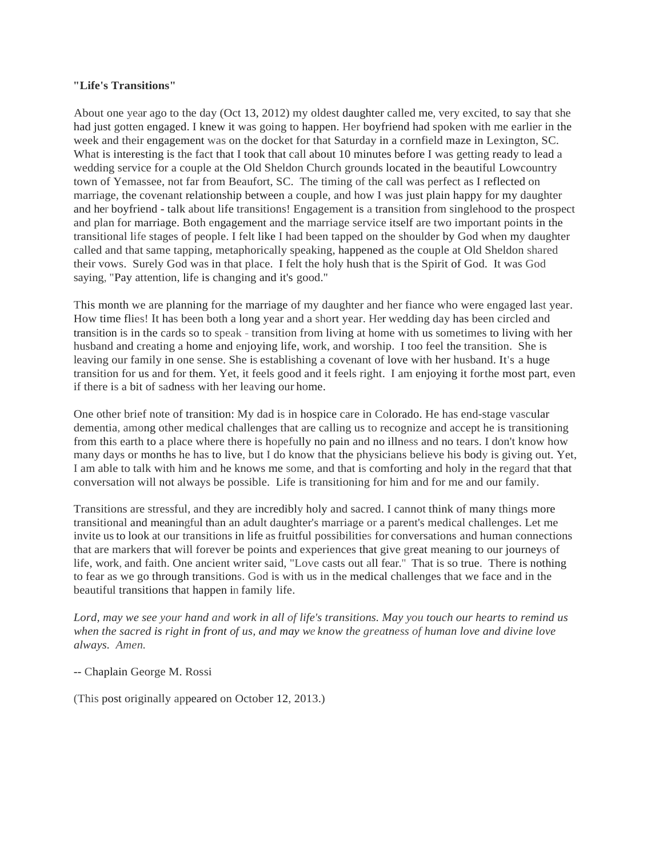#### **"Life's Transitions"**

About one year ago to the day (Oct 13, 2012) my oldest daughter called me, very excited, to say that she had just gotten engaged. I knew it was going to happen. Her boyfriend had spoken with me earlier in the week and their engagement was on the docket for that Saturday in a cornfield maze in Lexington, SC. What is interesting is the fact that I took that call about 10 minutes before I was getting ready to lead a wedding service for a couple at the Old Sheldon Church grounds located in the beautiful Lowcountry town of Yemassee, not far from Beaufort, SC. The timing of the call was perfect as I reflected on marriage, the covenant relationship between a couple, and how I was just plain happy for my daughter and her boyfriend - talk about life transitions! Engagement is a transition from singlehood to the prospect and plan for marriage. Both engagement and the marriage service itself are two important points in the transitional life stages of people. I felt like I had been tapped on the shoulder by God when my daughter called and that same tapping, metaphorically speaking, happened as the couple at Old Sheldon shared their vows. Surely God was in that place. I felt the holy hush that is the Spirit of God. It was God saying, "Pay attention, life is changing and it's good."

This month we are planning for the marriage of my daughter and her fiance who were engaged last year. How time flies! It has been both a long year and a short year. Her wedding day has been circled and transition is in the cards so to speak - transition from living at home with us sometimes to living with her husband and creating a home and enjoying life, work, and worship. I too feel the transition. She is leaving our family in one sense. She is establishing a covenant of love with her husband. It's a huge transition for us and for them. Yet, it feels good and it feels right. I am enjoying it forthe most part, even if there is a bit of sadness with her leaving our home.

One other brief note of transition: My dad is in hospice care in Colorado. He has end-stage vascular dementia, among other medical challenges that are calling us to recognize and accept he is transitioning from this earth to a place where there is hopefully no pain and no illness and no tears. I don't know how many days or months he has to live, but I do know that the physicians believe his body is giving out. Yet, I am able to talk with him and he knows me some, and that is comforting and holy in the regard that that conversation will not always be possible. Life is transitioning for him and for me and our family.

Transitions are stressful, and they are incredibly holy and sacred. I cannot think of many things more transitional and meaningful than an adult daughter's marriage or a parent's medical challenges. Let me invite us to look at our transitions in life as fruitful possibilities for conversations and human connections that are markers that will forever be points and experiences that give great meaning to our journeys of life, work, and faith. One ancient writer said, "Love casts out all fear." That is so true. There is nothing to fear as we go through transitions. God is with us in the medical challenges that we face and in the beautiful transitions that happen in family life.

*Lord, may we see your hand and work in all of life's transitions. May you touch our hearts to remind us when the sacred is right in front of us, and may we know the greatness of human love and divine love always. Amen.*

-- Chaplain George M. Rossi

(This post originally appeared on October 12, 2013.)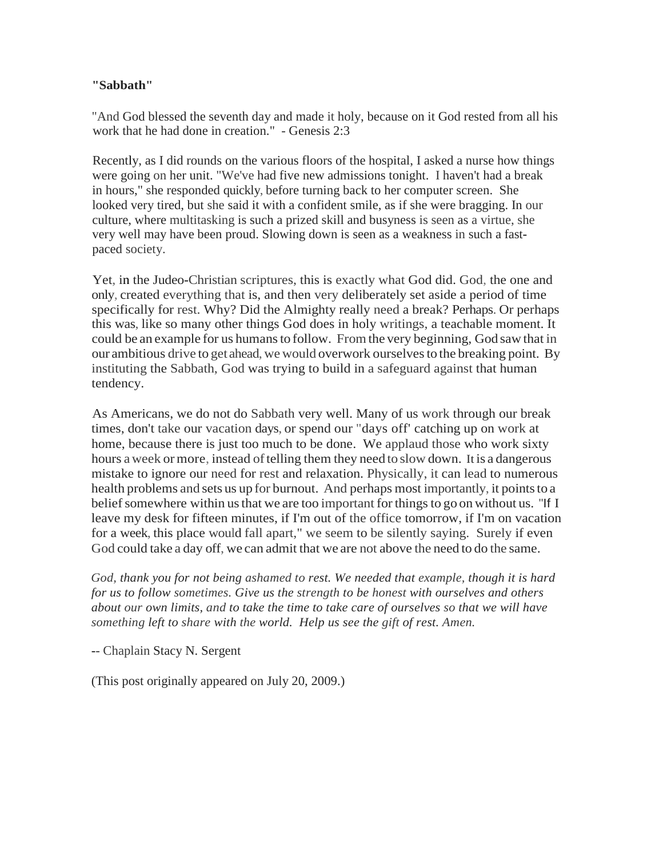## **"Sabbath"**

"And God blessed the seventh day and made it holy, because on it God rested from all his work that he had done in creation." - Genesis 2:3

Recently, as I did rounds on the various floors of the hospital, I asked a nurse how things were going on her unit. "We've had five new admissions tonight. I haven't had a break in hours," she responded quickly, before turning back to her computer screen. She looked very tired, but she said it with a confident smile, as if she were bragging. In our culture, where multitasking is such a prized skill and busyness is seen as a virtue, she very well may have been proud. Slowing down is seen as a weakness in such a fastpaced society.

Yet, in the Judeo-Christian scriptures, this is exactly what God did. God, the one and only, created everything that is, and then very deliberately set aside a period of time specifically for rest. Why? Did the Almighty really need a break? Perhaps. Or perhaps this was, like so many other things God does in holy writings, a teachable moment. It could be an example for us humansto follow. Fromthe very beginning, God saw that in our ambitious drive to get ahead, we would overwork ourselves to the breaking point. By instituting the Sabbath, God was trying to build in a safeguard against that human tendency.

As Americans, we do not do Sabbath very well. Many of us work through our break times, don't take our vacation days, or spend our "days off' catching up on work at home, because there is just too much to be done. We applaud those who work sixty hours a week or more, instead of telling them they need to slow down. It is a dangerous mistake to ignore our need for rest and relaxation. Physically, it can lead to numerous health problems and sets us up for burnout. And perhaps most importantly, it points to a belief somewhere within us that we are too important for things to go on without us. "If I leave my desk for fifteen minutes, if I'm out of the office tomorrow, if I'm on vacation for a week, this place would fall apart," we seem to be silently saying. Surely if even God could take a day off, we can admit that we are not above the need to do the same.

*God, thank you for not being ashamed to rest. We needed that example, though it is hard for us to follow sometimes. Give us the strength to be honest with ourselves and others about our own limits, and to take the time to take care of ourselves so that we will have something left to share with the world. Help us see the gift of rest. Amen.*

-- Chaplain Stacy N. Sergent

(This post originally appeared on July 20, 2009.)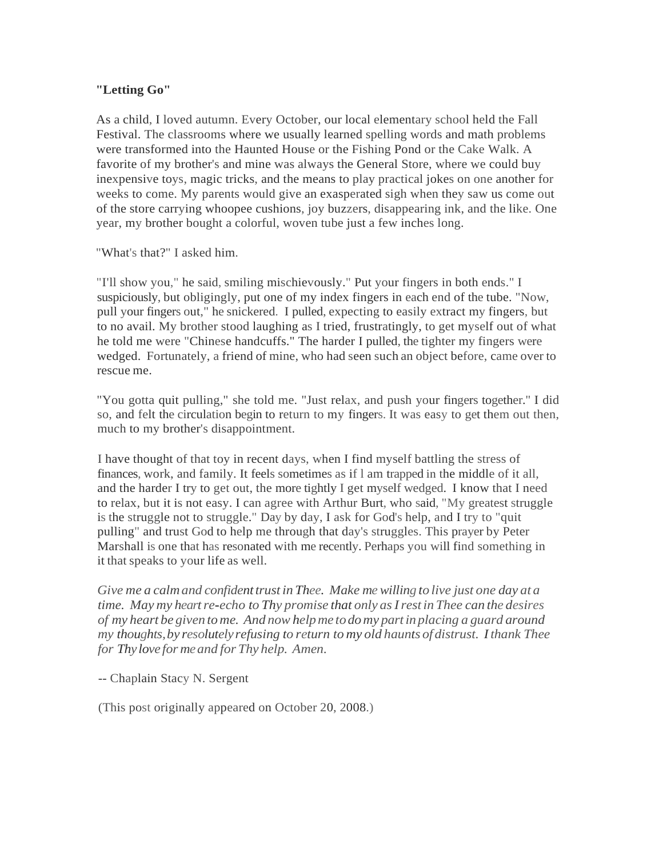# **"Letting Go"**

As a child, I loved autumn. Every October, our local elementary school held the Fall Festival. The classrooms where we usually learned spelling words and math problems were transformed into the Haunted House or the Fishing Pond or the Cake Walk. A favorite of my brother's and mine was always the General Store, where we could buy inexpensive toys, magic tricks, and the means to play practical jokes on one another for weeks to come. My parents would give an exasperated sigh when they saw us come out of the store carrying whoopee cushions, joy buzzers, disappearing ink, and the like. One year, my brother bought a colorful, woven tube just a few inches long.

"What's that?" I asked him.

"I'll show you," he said, smiling mischievously." Put your fingers in both ends." I suspiciously, but obligingly, put one of my index fingers in each end of the tube. "Now, pull your fingers out," he snickered. I pulled, expecting to easily extract my fingers, but to no avail. My brother stood laughing as I tried, frustratingly, to get myself out of what he told me were "Chinese handcuffs." The harder I pulled, the tighter my fingers were wedged. Fortunately, a friend of mine, who had seen such an object before, came over to rescue me.

"You gotta quit pulling," she told me. "Just relax, and push your fingers together." I did so, and felt the circulation begin to return to my fingers. It was easy to get them out then, much to my brother's disappointment.

I have thought of that toy in recent days, when I find myself battling the stress of finances, work, and family. It feels sometimes as if l am trapped in the middle of it all, and the harder I try to get out, the more tightly I get myself wedged. I know that I need to relax, but it is not easy. I can agree with Arthur Burt, who said, "My greatest struggle is the struggle not to struggle." Day by day, I ask for God's help, and I try to "quit pulling" and trust God to help me through that day's struggles. This prayer by Peter Marshall is one that has resonated with me recently. Perhaps you will find something in it that speaks to your life as well.

*Give me a calmand confidenttrust in Thee. Make mewilling to live just one day at a time. May my heart re-echo to Thy promise that only as I rest in Thee can the desires of my heart be given to me. And nowhelpme todomy partin placing a guard around my thoughts,by resolutelyrefusing to return to my old haunts of distrust. Ithank Thee for Thy love for meand for Thy help. Amen.*

-- Chaplain Stacy N. Sergent

(This post originally appeared on October 20, 2008.)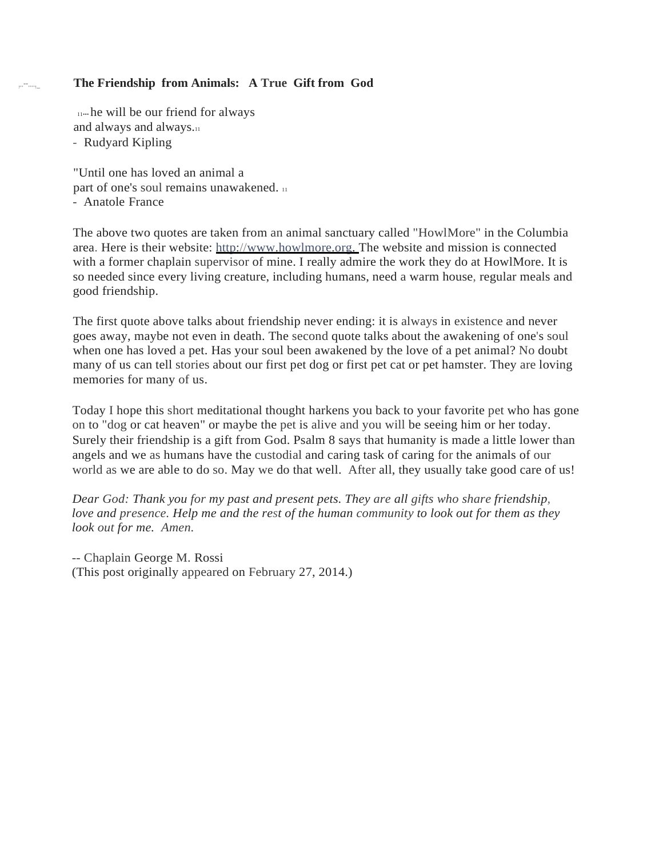# The Friendship from Animals: A True Gift from God

11••• he will be our friend for always and always and always.11 - Rudyard Kipling

"Until one has loved an animal a part of one's soul remains unawakened. 11 - Anatole France

The above two quotes are taken from an animal sanctuary called "HowlMore" in the Columbia area. Here is their website: [http://www.howlmore.org.](http://www.howlmore.org/) The website and mission is connected with a former chaplain supervisor of mine. I really admire the work they do at HowlMore. It is so needed since every living creature, including humans, need a warm house, regular meals and good friendship.

The first quote above talks about friendship never ending: it is always in existence and never goes away, maybe not even in death. The second quote talks about the awakening of one's soul when one has loved a pet. Has your soul been awakened by the love of a pet animal? No doubt many of us can tell stories about our first pet dog or first pet cat or pet hamster. They are loving memories for many of us.

Today I hope this short meditational thought harkens you back to your favorite pet who has gone on to "dog or cat heaven" or maybe the pet is alive and you will be seeing him or her today. Surely their friendship is a gift from God. Psalm 8 says that humanity is made a little lower than angels and we as humans have the custodial and caring task of caring for the animals of our world as we are able to do so. May we do that well. After all, they usually take good care of us!

*Dear God: Thank you for my past and present pets. They are all gifts who share friendship, love and presence. Help me and the rest of the human community to look out for them as they look out for me. Amen.*

-- Chaplain George M. Rossi (This post originally appeared on February 27, 2014.)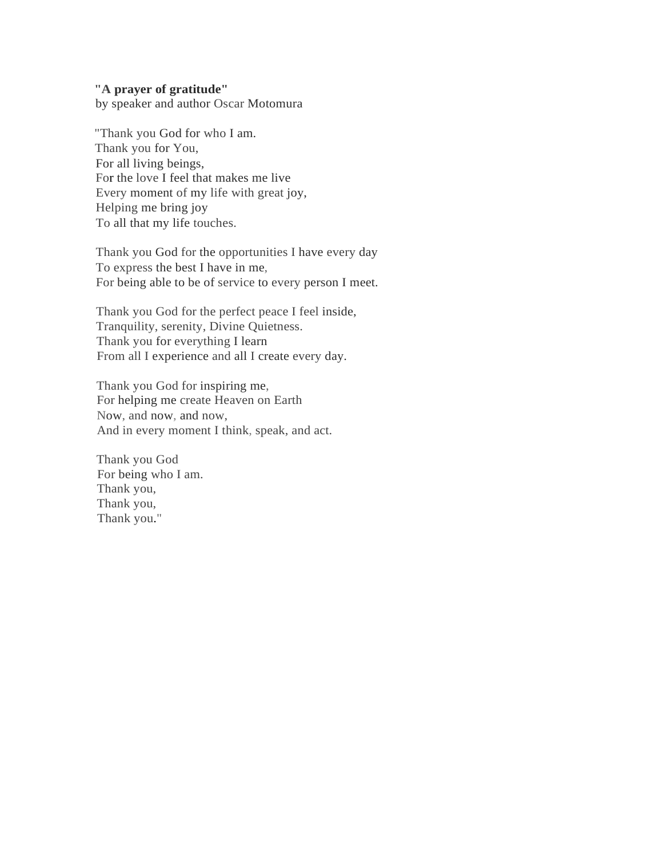#### **"A prayer of gratitude"**

by speaker and author Oscar Motomura

"Thank you God for who I am. Thank you for You, For all living beings, For the love I feel that makes me live Every moment of my life with great joy, Helping me bring joy To all that my life touches.

Thank you God for the opportunities I have every day To express the best I have in me, For being able to be of service to every person I meet.

Thank you God for the perfect peace I feel inside, Tranquility, serenity, Divine Quietness. Thank you for everything I learn From all I experience and all I create every day.

Thank you God for inspiring me, For helping me create Heaven on Earth Now, and now, and now, And in every moment I think, speak, and act.

Thank you God For being who I am. Thank you, Thank you, Thank you."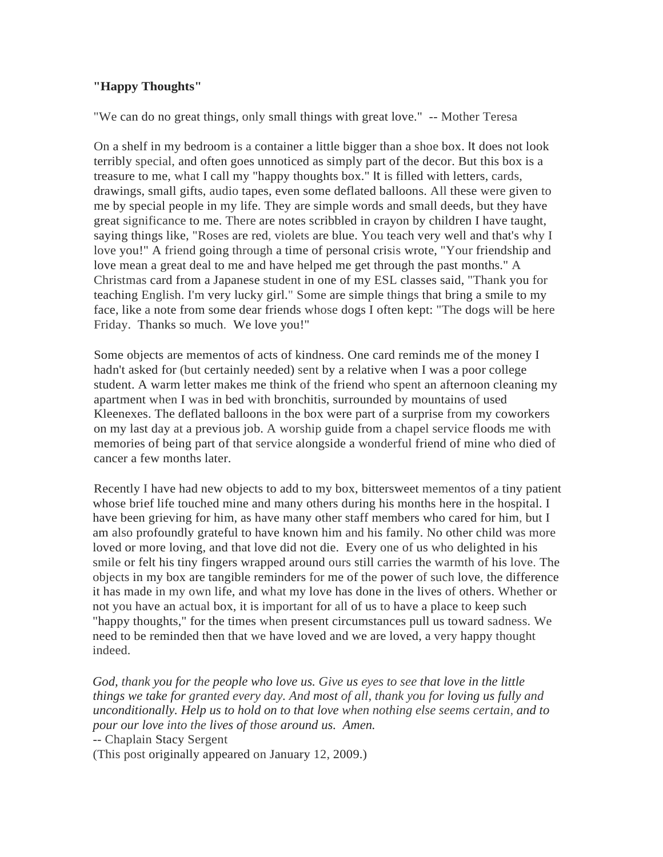# **"Happy Thoughts"**

"We can do no great things, only small things with great love." -- Mother Teresa

On a shelf in my bedroom is a container a little bigger than a shoe box. It does not look terribly special, and often goes unnoticed as simply part of the decor. But this box is a treasure to me, what I call my "happy thoughts box." It is filled with letters, cards, drawings, small gifts, audio tapes, even some deflated balloons. All these were given to me by special people in my life. They are simple words and small deeds, but they have great significance to me. There are notes scribbled in crayon by children I have taught, saying things like, "Roses are red, violets are blue. You teach very well and that's why I love you!" A friend going through a time of personal crisis wrote, "Your friendship and love mean a great deal to me and have helped me get through the past months." A Christmas card from a Japanese student in one of my ESL classes said, "Thank you for teaching English. I'm very lucky girl." Some are simple things that bring a smile to my face, like a note from some dear friends whose dogs I often kept: "The dogs will be here Friday. Thanks so much. We love you!"

Some objects are mementos of acts of kindness. One card reminds me of the money I hadn't asked for (but certainly needed) sent by a relative when I was a poor college student. A warm letter makes me think of the friend who spent an afternoon cleaning my apartment when I was in bed with bronchitis, surrounded by mountains of used Kleenexes. The deflated balloons in the box were part of a surprise from my coworkers on my last day at a previous job. A worship guide from a chapel service floods me with memories of being part of that service alongside a wonderful friend of mine who died of cancer a few months later.

Recently I have had new objects to add to my box, bittersweet mementos of a tiny patient whose brief life touched mine and many others during his months here in the hospital. I have been grieving for him, as have many other staff members who cared for him, but I am also profoundly grateful to have known him and his family. No other child was more loved or more loving, and that love did not die. Every one of us who delighted in his smile or felt his tiny fingers wrapped around ours still carries the warmth of his love. The objects in my box are tangible reminders for me of the power of such love, the difference it has made in my own life, and what my love has done in the lives of others. Whether or not you have an actual box, it is important for all of us to have a place to keep such "happy thoughts," for the times when present circumstances pull us toward sadness. We need to be reminded then that we have loved and we are loved, a very happy thought indeed.

*God, thank you for the people who love us. Give us eyes to see that love in the little things we take for granted every day. And most of all, thank you for loving us fully and unconditionally. Help us to hold on to that love when nothing else seems certain, and to pour our love into the lives of those around us. Amen.*

-- Chaplain Stacy Sergent

(This post originally appeared on January 12, 2009.)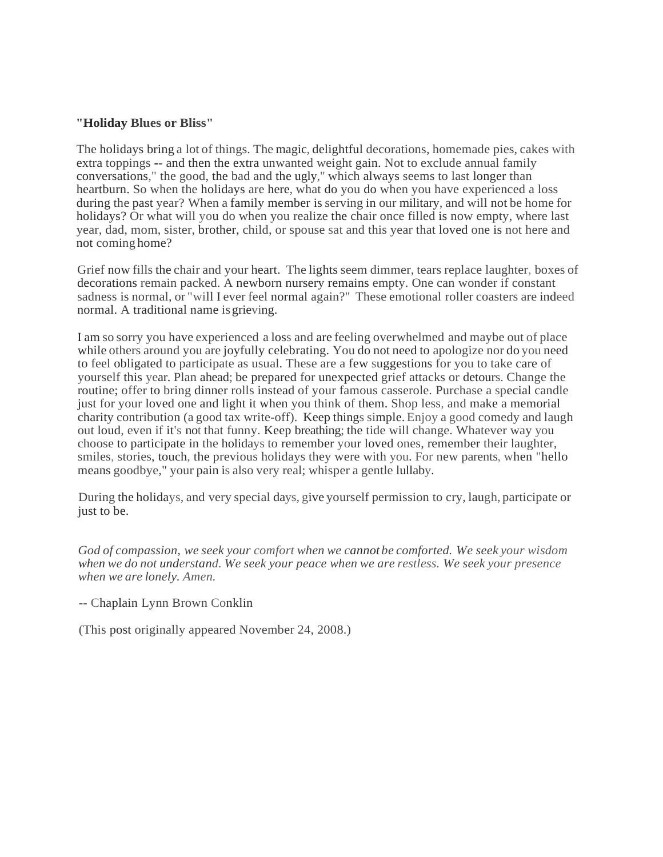#### **"Holiday Blues or Bliss"**

The holidays bring a lot of things. The magic, delightful decorations, homemade pies, cakes with extra toppings -- and then the extra unwanted weight gain. Not to exclude annual family conversations," the good, the bad and the ugly," which always seems to last longer than heartburn. So when the holidays are here, what do you do when you have experienced a loss during the past year? When a family member is serving in our military, and will not be home for holidays? Or what will you do when you realize the chair once filled is now empty, where last year, dad, mom, sister, brother, child, or spouse sat and this year that loved one is not here and not coming home?

Grief now fills the chair and your heart. The lights seem dimmer, tears replace laughter, boxes of decorations remain packed. A newborn nursery remains empty. One can wonder if constant sadness is normal, or "will I ever feel normal again?" These emotional roller coasters are indeed normal. A traditional name isgrieving.

I am so sorry you have experienced a loss and are feeling overwhelmed and maybe out of place while others around you are joyfully celebrating. You do not need to apologize nor do you need to feel obligated to participate as usual. These are a few suggestions for you to take care of yourself this year. Plan ahead; be prepared for unexpected grief attacks or detours. Change the routine; offer to bring dinner rolls instead of your famous casserole. Purchase a special candle just for your loved one and light it when you think of them. Shop less, and make a memorial charity contribution (a good tax write-off). Keep things simple. Enjoy a good comedy and laugh out loud, even if it's not that funny. Keep breathing; the tide will change. Whatever way you choose to participate in the holidays to remember your loved ones, remember their laughter, smiles, stories, touch, the previous holidays they were with you. For new parents, when "hello means goodbye," your pain is also very real; whisper a gentle lullaby.

During the holidays, and very special days, give yourself permission to cry, laugh, participate or just to be.

*God of compassion, we seek your comfort when we cannot be comforted. We seek your wisdom when we do not understand. We seek your peace when we are restless. We seek your presence when we are lonely. Amen.*

#### -- Chaplain Lynn Brown Conklin

(This post originally appeared November 24, 2008.)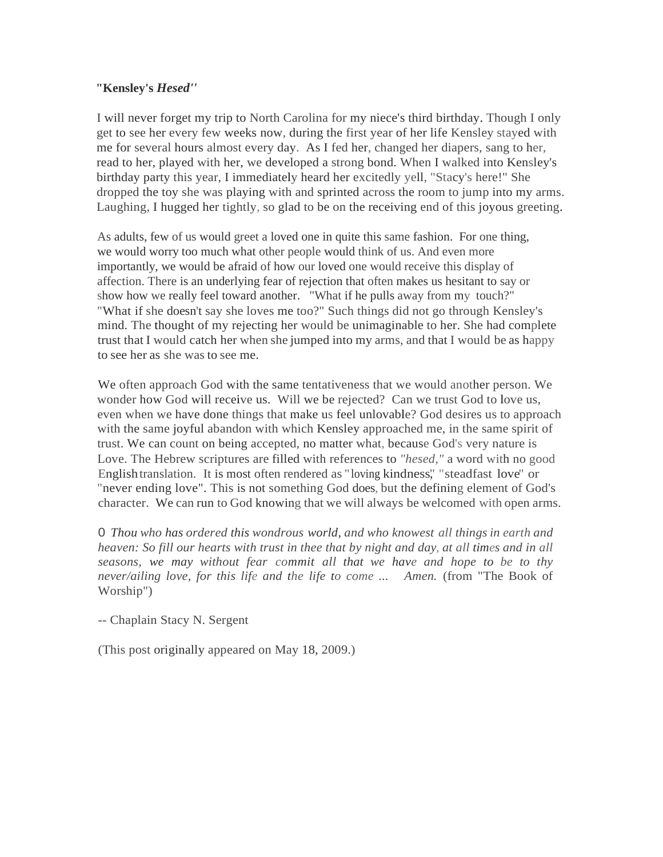### **"Kensley's** *Hesed''*

I will never forget my trip to North Carolina for my niece's third birthday. Though I only get to see her every few weeks now, during the first year of her life Kensley stayed with me for several hours almost every day. As I fed her, changed her diapers, sang to her, read to her, played with her, we developed a strong bond. When I walked into Kensley's birthday party this year, I immediately heard her excitedly yell, "Stacy's here!" She dropped the toy she was playing with and sprinted across the room to jump into my arms. Laughing, I hugged her tightly, so glad to be on the receiving end of this joyous greeting.

As adults, few of us would greet a loved one in quite this same fashion. For one thing, we would worry too much what other people would think of us. And even more importantly, we would be afraid of how our loved one would receive this display of affection. There is an underlying fear of rejection that often makes us hesitant to say or show how we really feel toward another. "What if he pulls away from my touch?" "What if she doesn't say she loves me too?" Such things did not go through Kensley's mind. The thought of my rejecting her would be unimaginable to her. She had complete trust that I would catch her when she jumped into my arms, and that I would be as happy to see her as she was to see me.

We often approach God with the same tentativeness that we would another person. We wonder how God will receive us. Will we be rejected? Can we trust God to love us, even when we have done things that make us feel unlovable? God desires us to approach with the same joyful abandon with which Kensley approached me, in the same spirit of trust. We can count on being accepted, no matter what, because God's very nature is Love. The Hebrew scriptures are filled with references to *"hesed,"* a word with no good Englishtranslation. It is most often rendered as "loving kindness", "steadfast love" or "never ending love". This is not something God does, but the defining element of God's character. We can run to God knowing that we will always be welcomed with open arms.

0 *Thou who has ordered this wondrous world, and who knowest all things in earth and heaven: So fill our hearts with trust in thee that by night and day, at all times and in all seasons, we may without fear commit all that we have and hope to be to thy never/ailing love, for this life and the life to come ... Amen.* (from "The Book of Worship")

-- Chaplain Stacy N. Sergent

(This post originally appeared on May 18, 2009.)